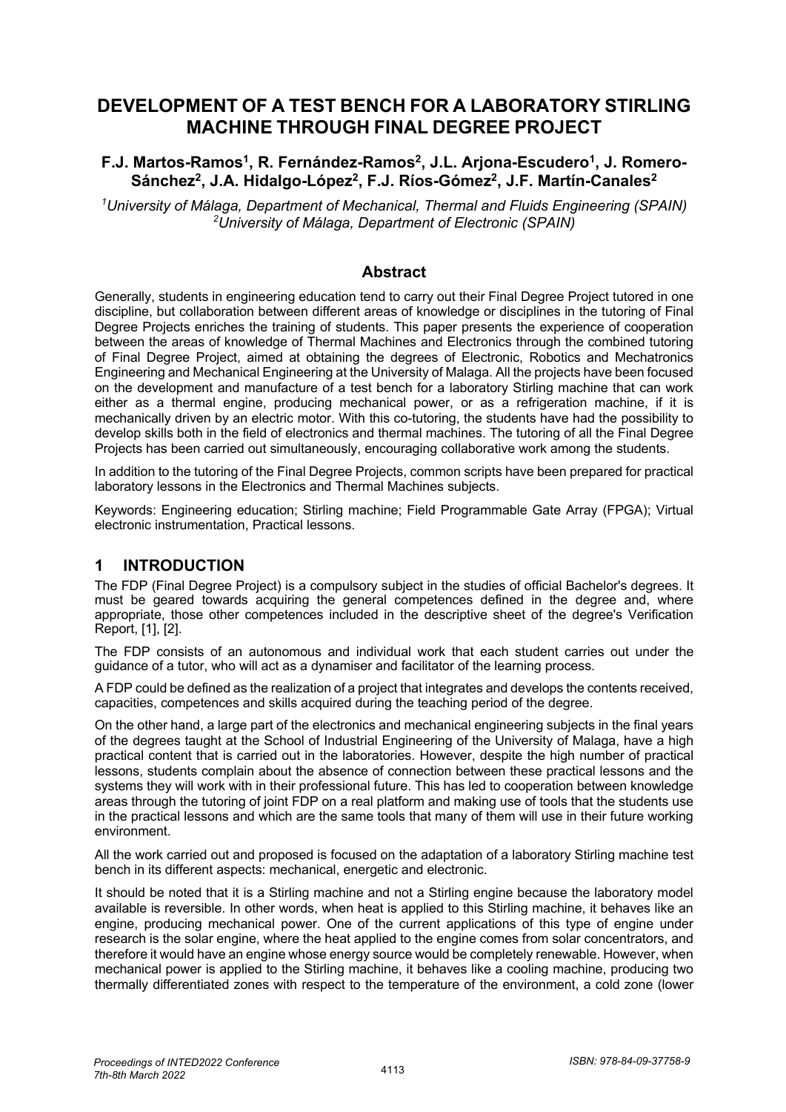# **DEVELOPMENT OF A TEST BENCH FOR A LABORATORY STIRLING MACHINE THROUGH FINAL DEGREE PROJECT**

#### F.J. Martos-Ramos<sup>1</sup>, R. Fernández-Ramos<sup>2</sup>, J.L. Arjona-Escudero<sup>1</sup>, J. Romero-Sánchez<sup>2</sup>, J.A. Hidalgo-López<sup>2</sup>, F.J. Ríos-Gómez<sup>2</sup>, J.F. Martín-Canales<sup>2</sup>

*1 University of Málaga, Department of Mechanical, Thermal and Fluids Engineering (SPAIN) 2 University of Málaga, Department of Electronic (SPAIN)*

#### **Abstract**

Generally, students in engineering education tend to carry out their Final Degree Project tutored in one discipline, but collaboration between different areas of knowledge or disciplines in the tutoring of Final Degree Projects enriches the training of students. This paper presents the experience of cooperation between the areas of knowledge of Thermal Machines and Electronics through the combined tutoring of Final Degree Project, aimed at obtaining the degrees of Electronic, Robotics and Mechatronics Engineering and Mechanical Engineering at the University of Malaga. All the projects have been focused on the development and manufacture of a test bench for a laboratory Stirling machine that can work either as a thermal engine, producing mechanical power, or as a refrigeration machine, if it is mechanically driven by an electric motor. With this co-tutoring, the students have had the possibility to develop skills both in the field of electronics and thermal machines. The tutoring of all the Final Degree Projects has been carried out simultaneously, encouraging collaborative work among the students.

In addition to the tutoring of the Final Degree Projects, common scripts have been prepared for practical laboratory lessons in the Electronics and Thermal Machines subjects.

Keywords: Engineering education; Stirling machine; Field Programmable Gate Array (FPGA); Virtual electronic instrumentation, Practical lessons.

### **1 INTRODUCTION**

The FDP (Final Degree Project) is a compulsory subject in the studies of official Bachelor's degrees. It must be geared towards acquiring the general competences defined in the degree and, where appropriate, those other competences included in the descriptive sheet of the degree's Verification Report, [1], [2].

The FDP consists of an autonomous and individual work that each student carries out under the guidance of a tutor, who will act as a dynamiser and facilitator of the learning process.

A FDP could be defined as the realization of a project that integrates and develops the contents received, capacities, competences and skills acquired during the teaching period of the degree.

On the other hand, a large part of the electronics and mechanical engineering subjects in the final years of the degrees taught at the School of Industrial Engineering of the University of Malaga, have a high practical content that is carried out in the laboratories. However, despite the high number of practical lessons, students complain about the absence of connection between these practical lessons and the systems they will work with in their professional future. This has led to cooperation between knowledge areas through the tutoring of joint FDP on a real platform and making use of tools that the students use in the practical lessons and which are the same tools that many of them will use in their future working environment.

All the work carried out and proposed is focused on the adaptation of a laboratory Stirling machine test bench in its different aspects: mechanical, energetic and electronic.

It should be noted that it is a Stirling machine and not a Stirling engine because the laboratory model available is reversible. In other words, when heat is applied to this Stirling machine, it behaves like an engine, producing mechanical power. One of the current applications of this type of engine under research is the solar engine, where the heat applied to the engine comes from solar concentrators, and therefore it would have an engine whose energy source would be completely renewable. However, when mechanical power is applied to the Stirling machine, it behaves like a cooling machine, producing two thermally differentiated zones with respect to the temperature of the environment, a cold zone (lower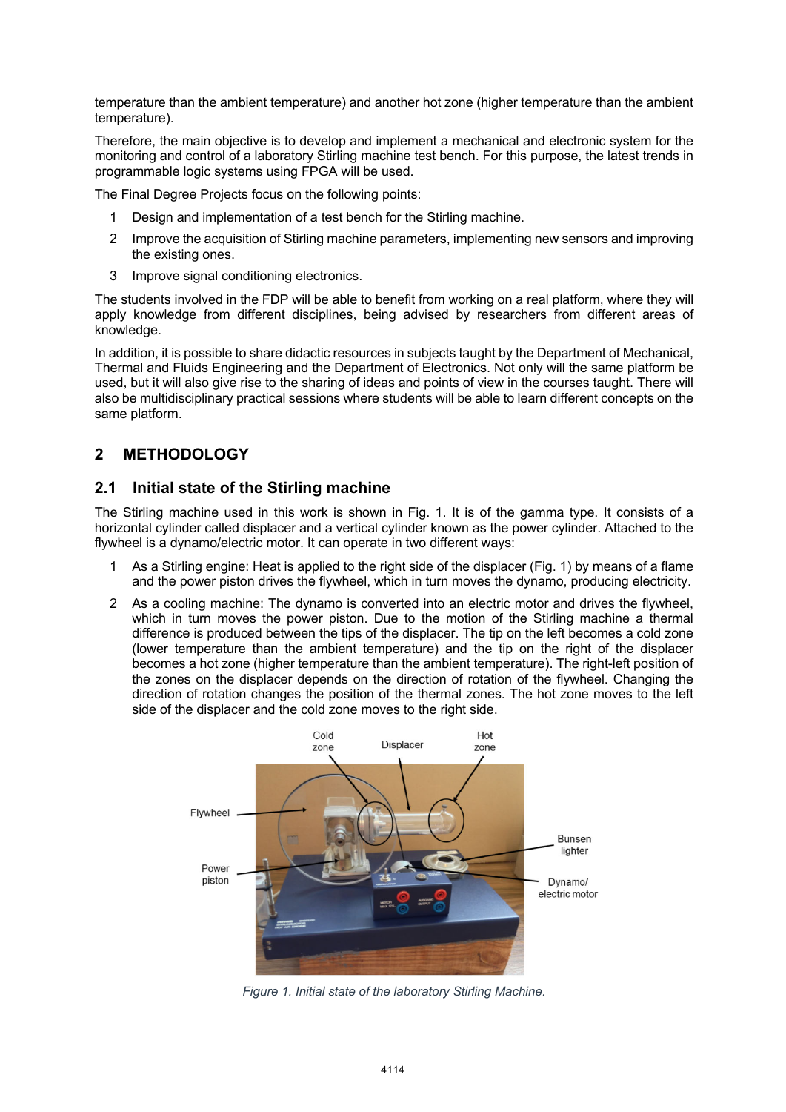temperature than the ambient temperature) and another hot zone (higher temperature than the ambient temperature).

Therefore, the main objective is to develop and implement a mechanical and electronic system for the monitoring and control of a laboratory Stirling machine test bench. For this purpose, the latest trends in programmable logic systems using FPGA will be used.

The Final Degree Projects focus on the following points:

- 1 Design and implementation of a test bench for the Stirling machine.
- 2 Improve the acquisition of Stirling machine parameters, implementing new sensors and improving the existing ones.
- 3 Improve signal conditioning electronics.

The students involved in the FDP will be able to benefit from working on a real platform, where they will apply knowledge from different disciplines, being advised by researchers from different areas of knowledge.

In addition, it is possible to share didactic resources in subjects taught by the Department of Mechanical, Thermal and Fluids Engineering and the Department of Electronics. Not only will the same platform be used, but it will also give rise to the sharing of ideas and points of view in the courses taught. There will also be multidisciplinary practical sessions where students will be able to learn different concepts on the same platform.

# **2 METHODOLOGY**

### **2.1 Initial state of the Stirling machine**

The Stirling machine used in this work is shown in Fig. 1. It is of the gamma type. It consists of a horizontal cylinder called displacer and a vertical cylinder known as the power cylinder. Attached to the flywheel is a dynamo/electric motor. It can operate in two different ways:

- 1 As a Stirling engine: Heat is applied to the right side of the displacer (Fig. 1) by means of a flame and the power piston drives the flywheel, which in turn moves the dynamo, producing electricity.
- 2 As a cooling machine: The dynamo is converted into an electric motor and drives the flywheel, which in turn moves the power piston. Due to the motion of the Stirling machine a thermal difference is produced between the tips of the displacer. The tip on the left becomes a cold zone (lower temperature than the ambient temperature) and the tip on the right of the displacer becomes a hot zone (higher temperature than the ambient temperature). The right-left position of the zones on the displacer depends on the direction of rotation of the flywheel. Changing the direction of rotation changes the position of the thermal zones. The hot zone moves to the left side of the displacer and the cold zone moves to the right side.



*Figure 1. Initial state of the laboratory Stirling Machine.*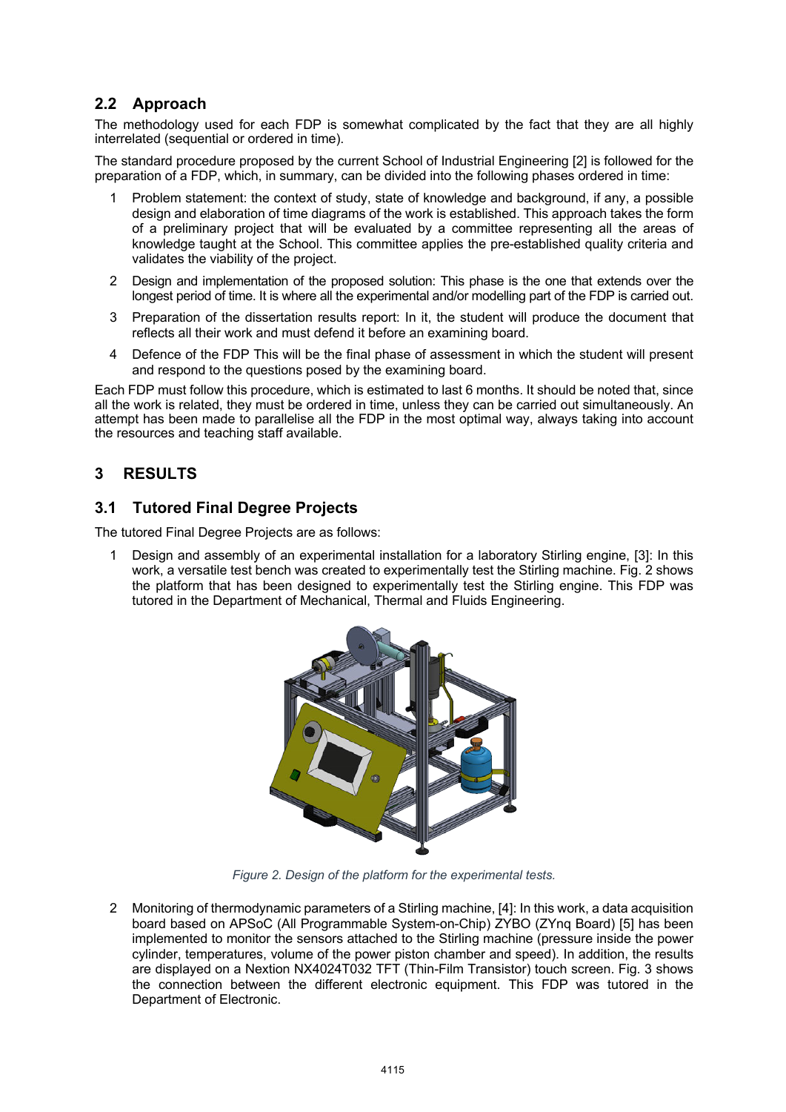### **2.2 Approach**

The methodology used for each FDP is somewhat complicated by the fact that they are all highly interrelated (sequential or ordered in time).

The standard procedure proposed by the current School of Industrial Engineering [2] is followed for the preparation of a FDP, which, in summary, can be divided into the following phases ordered in time:

- 1 Problem statement: the context of study, state of knowledge and background, if any, a possible design and elaboration of time diagrams of the work is established. This approach takes the form of a preliminary project that will be evaluated by a committee representing all the areas of knowledge taught at the School. This committee applies the pre-established quality criteria and validates the viability of the project.
- 2 Design and implementation of the proposed solution: This phase is the one that extends over the longest period of time. It is where all the experimental and/or modelling part of the FDP is carried out.
- 3 Preparation of the dissertation results report: In it, the student will produce the document that reflects all their work and must defend it before an examining board.
- 4 Defence of the FDP This will be the final phase of assessment in which the student will present and respond to the questions posed by the examining board.

Each FDP must follow this procedure, which is estimated to last 6 months. It should be noted that, since all the work is related, they must be ordered in time, unless they can be carried out simultaneously. An attempt has been made to parallelise all the FDP in the most optimal way, always taking into account the resources and teaching staff available.

### **3 RESULTS**

### **3.1 Tutored Final Degree Projects**

The tutored Final Degree Projects are as follows:

Design and assembly of an experimental installation for a laboratory Stirling engine, [3]: In this work, a versatile test bench was created to experimentally test the Stirling machine. Fig. 2 shows the platform that has been designed to experimentally test the Stirling engine. This FDP was tutored in the Department of Mechanical, Thermal and Fluids Engineering.



*Figure 2. Design of the platform for the experimental tests.*

2 Monitoring of thermodynamic parameters of a Stirling machine, [4]: In this work, a data acquisition board based on APSoC (All Programmable System-on-Chip) ZYBO (ZYnq Board) [5] has been implemented to monitor the sensors attached to the Stirling machine (pressure inside the power cylinder, temperatures, volume of the power piston chamber and speed). In addition, the results are displayed on a Nextion NX4024T032 TFT (Thin-Film Transistor) touch screen. Fig. 3 shows the connection between the different electronic equipment. This FDP was tutored in the Department of Electronic.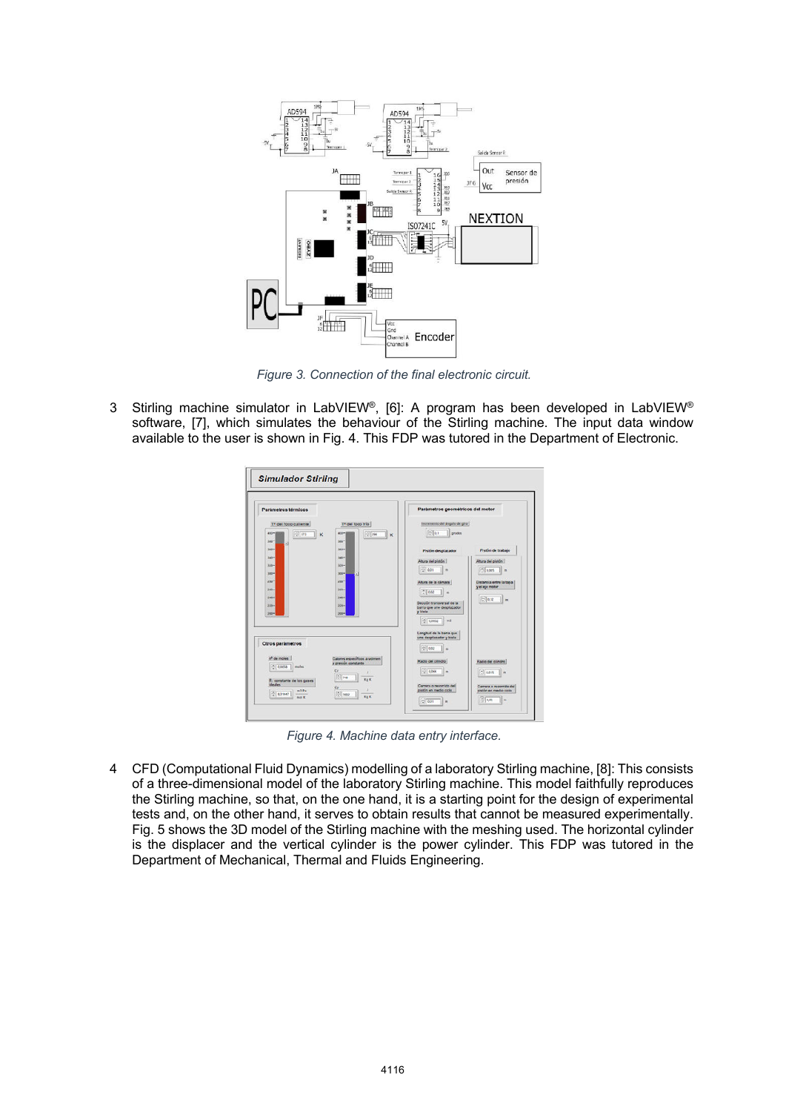

*Figure 3. Connection of the final electronic circuit.*

3 Stirling machine simulator in LabVIEW®, [6]: A program has been developed in LabVIEW® software, [7], which simulates the behaviour of the Stirling machine. The input data window available to the user is shown in Fig. 4. This FDP was tutored in the Department of Electronic.



*Figure 4. Machine data entry interface.*

4 CFD (Computational Fluid Dynamics) modelling of a laboratory Stirling machine, [8]: This consists of a three-dimensional model of the laboratory Stirling machine. This model faithfully reproduces the Stirling machine, so that, on the one hand, it is a starting point for the design of experimental tests and, on the other hand, it serves to obtain results that cannot be measured experimentally. Fig. 5 shows the 3D model of the Stirling machine with the meshing used. The horizontal cylinder is the displacer and the vertical cylinder is the power cylinder. This FDP was tutored in the Department of Mechanical, Thermal and Fluids Engineering.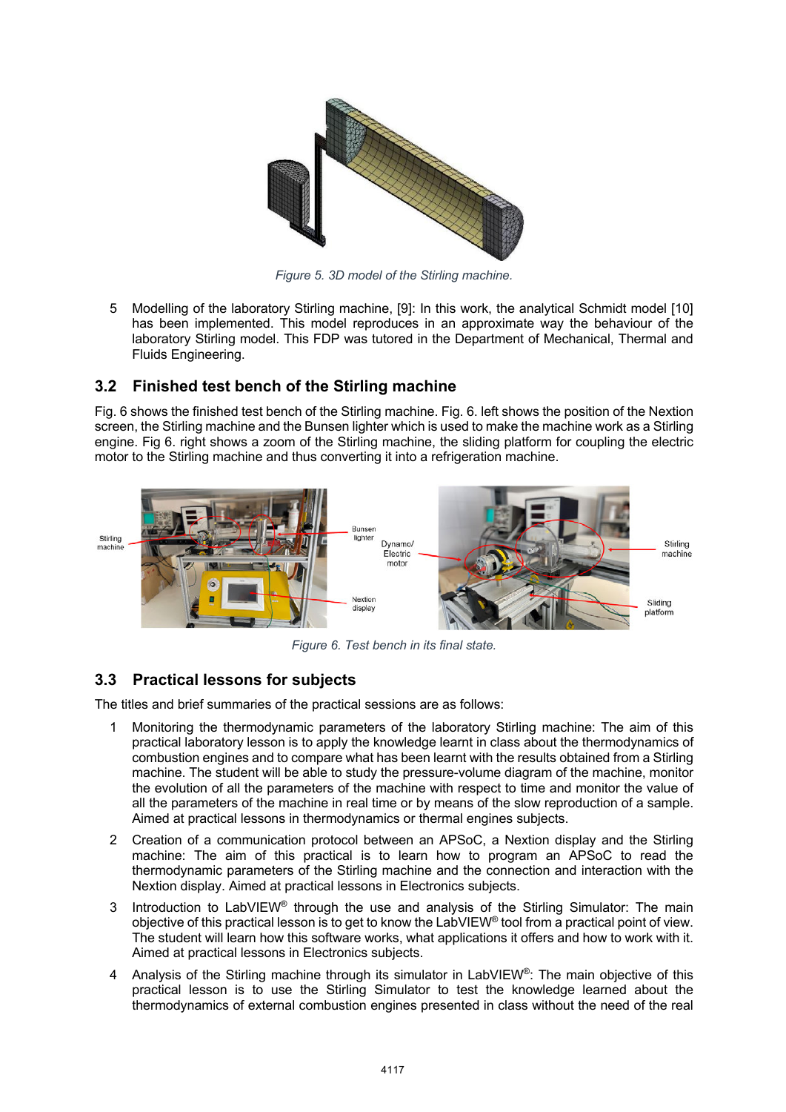

*Figure 5. 3D model of the Stirling machine.*

5 Modelling of the laboratory Stirling machine, [9]: In this work, the analytical Schmidt model [10] has been implemented. This model reproduces in an approximate way the behaviour of the laboratory Stirling model. This FDP was tutored in the Department of Mechanical, Thermal and Fluids Engineering.

### **3.2 Finished test bench of the Stirling machine**

Fig. 6 shows the finished test bench of the Stirling machine. Fig. 6. left shows the position of the Nextion screen, the Stirling machine and the Bunsen lighter which is used to make the machine work as a Stirling engine. Fig 6. right shows a zoom of the Stirling machine, the sliding platform for coupling the electric motor to the Stirling machine and thus converting it into a refrigeration machine.



*Figure 6. Test bench in its final state.*

# **3.3 Practical lessons for subjects**

The titles and brief summaries of the practical sessions are as follows:

- 1 Monitoring the thermodynamic parameters of the laboratory Stirling machine: The aim of this practical laboratory lesson is to apply the knowledge learnt in class about the thermodynamics of combustion engines and to compare what has been learnt with the results obtained from a Stirling machine. The student will be able to study the pressure-volume diagram of the machine, monitor the evolution of all the parameters of the machine with respect to time and monitor the value of all the parameters of the machine in real time or by means of the slow reproduction of a sample. Aimed at practical lessons in thermodynamics or thermal engines subjects.
- 2 Creation of a communication protocol between an APSoC, a Nextion display and the Stirling machine: The aim of this practical is to learn how to program an APSoC to read the thermodynamic parameters of the Stirling machine and the connection and interaction with the Nextion display. Aimed at practical lessons in Electronics subjects.
- 3 Introduction to LabVIEW<sup>®</sup> through the use and analysis of the Stirling Simulator: The main objective of this practical lesson is to get to know the LabVIEW® tool from a practical point of view. The student will learn how this software works, what applications it offers and how to work with it. Aimed at practical lessons in Electronics subjects.
- Analysis of the Stirling machine through its simulator in LabVIEW®: The main objective of this practical lesson is to use the Stirling Simulator to test the knowledge learned about the thermodynamics of external combustion engines presented in class without the need of the real